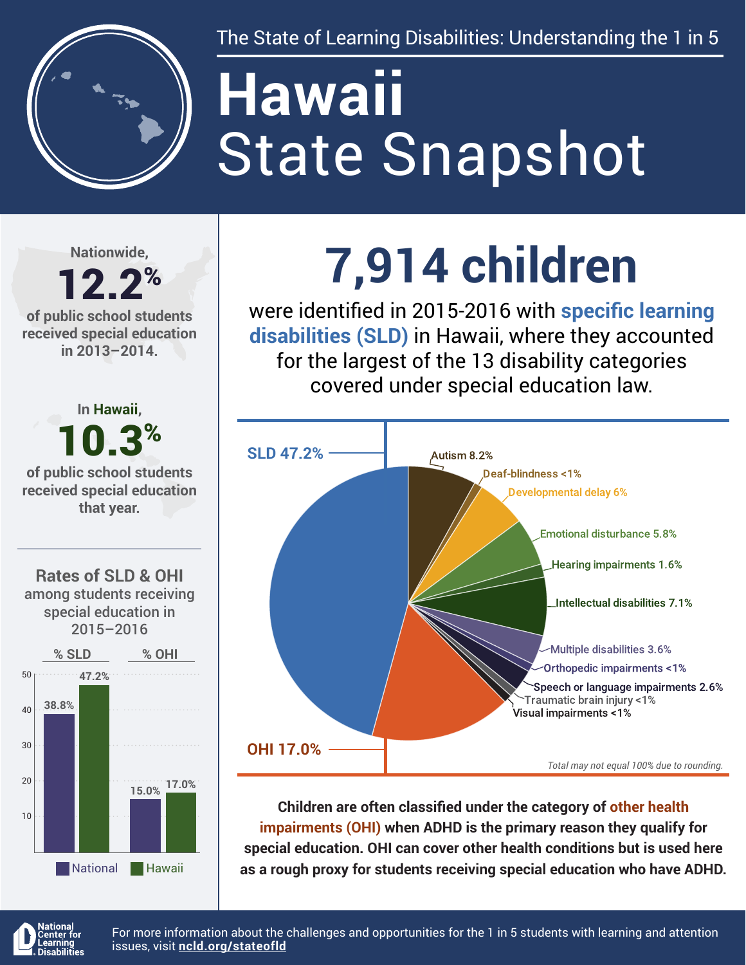

The State of Learning Disabilities: Understanding the 1 in 5

# State Snapshot **Hawaii**

**Nationwide,**

#### 12.2% **of public school students received special education in 2013–2014.**



## **7,914 children**

were identified in 2015-2016 with **specific learning disabilities (SLD)** in Hawaii, where they accounted for the largest of the 13 disability categories covered under special education law.



**Children are often classified under the category of other health impairments (OHI) when ADHD is the primary reason they qualify for special education. OHI can cover other health conditions but is used here as a rough proxy for students receiving special education who have ADHD.**



For more information about the challenges and opportunities for the 1 in 5 students with learning and attention issues, visit **[ncld.org/stateofld](http://ncld.org/stateofld)**